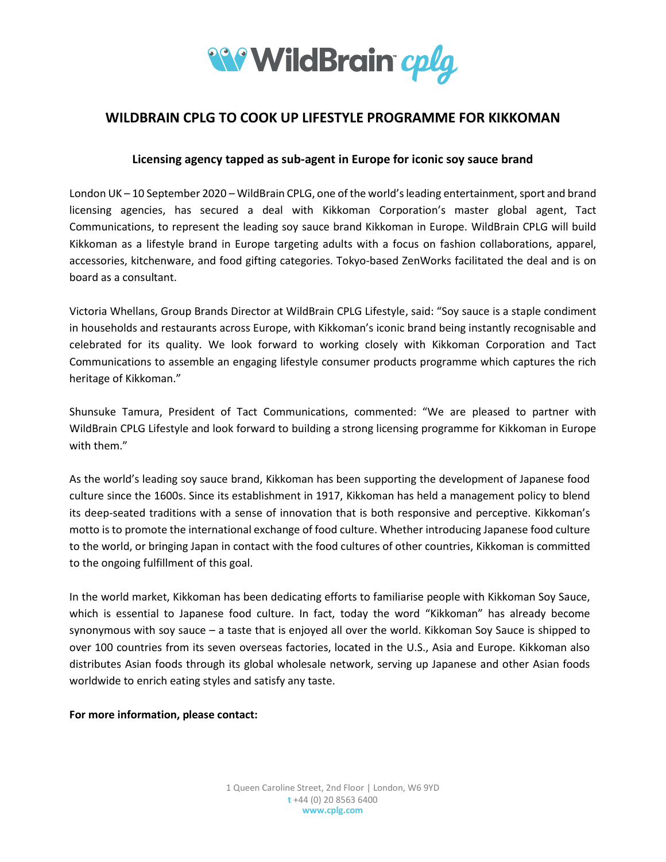

## **WILDBRAIN CPLG TO COOK UP LIFESTYLE PROGRAMME FOR KIKKOMAN**

## **Licensing agency tapped as sub-agent in Europe for iconic soy sauce brand**

London UK – 10 September 2020 – WildBrain CPLG, one of the world's leading entertainment, sport and brand licensing agencies, has secured a deal with Kikkoman Corporation's master global agent, Tact Communications, to represent the leading soy sauce brand Kikkoman in Europe. WildBrain CPLG will build Kikkoman as a lifestyle brand in Europe targeting adults with a focus on fashion collaborations, apparel, accessories, kitchenware, and food gifting categories. Tokyo-based ZenWorks facilitated the deal and is on board as a consultant.

Victoria Whellans, Group Brands Director at WildBrain CPLG Lifestyle, said: "Soy sauce is a staple condiment in households and restaurants across Europe, with Kikkoman's iconic brand being instantly recognisable and celebrated for its quality. We look forward to working closely with Kikkoman Corporation and Tact Communications to assemble an engaging lifestyle consumer products programme which captures the rich heritage of Kikkoman."

Shunsuke Tamura, President of Tact Communications, commented: "We are pleased to partner with WildBrain CPLG Lifestyle and look forward to building a strong licensing programme for Kikkoman in Europe with them."

As the world's leading soy sauce brand, Kikkoman has been supporting the development of Japanese food culture since the 1600s. Since its establishment in 1917, Kikkoman has held a management policy to blend its deep-seated traditions with a sense of innovation that is both responsive and perceptive. Kikkoman's motto is to promote the international exchange of food culture. Whether introducing Japanese food culture to the world, or bringing Japan in contact with the food cultures of other countries, Kikkoman is committed to the ongoing fulfillment of this goal.

In the world market, Kikkoman has been dedicating efforts to familiarise people with Kikkoman Soy Sauce, which is essential to Japanese food culture. In fact, today the word "Kikkoman" has already become synonymous with soy sauce – a taste that is enjoyed all over the world. Kikkoman Soy Sauce is shipped to over 100 countries from its seven overseas factories, located in the U.S., Asia and Europe. Kikkoman also distributes Asian foods through its global wholesale network, serving up Japanese and other Asian foods worldwide to enrich eating styles and satisfy any taste.

**For more information, please contact:**